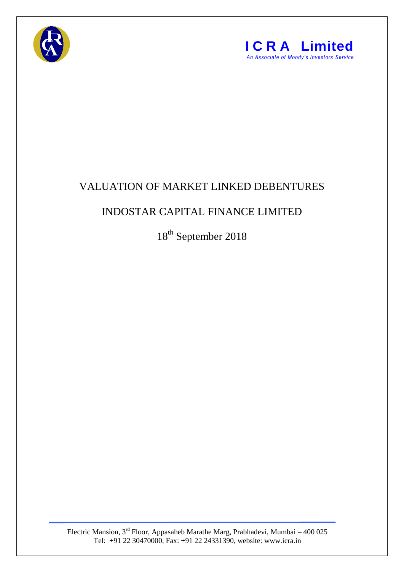



## VALUATION OF MARKET LINKED DEBENTURES

## INDOSTAR CAPITAL FINANCE LIMITED

18<sup>th</sup> September 2018